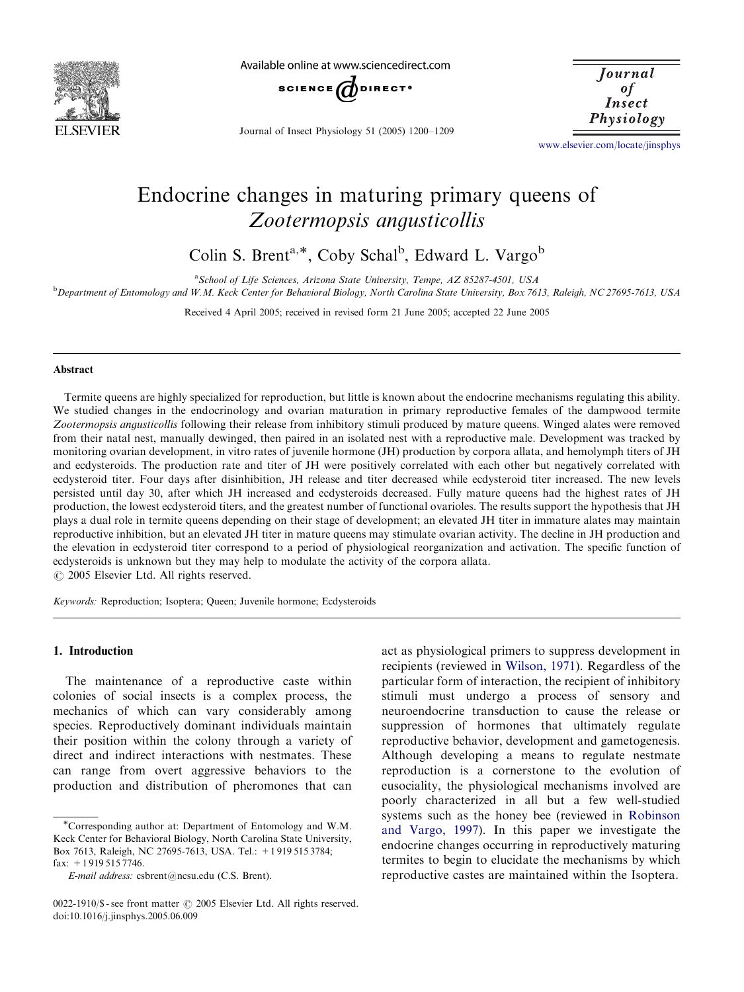

Available online at www.sciencedirect.com



Journal of Insect Physiology 51 (2005) 1200–1209

*Iournal Insect* Physiology

<www.elsevier.com/locate/jinsphys>

# Endocrine changes in maturing primary queens of Zootermopsis angusticollis

Colin S. Brent<sup>a,\*</sup>, Coby Schal<sup>b</sup>, Edward L. Vargo<sup>b</sup>

<sup>a</sup> School of Life Sciences, Arizona State University, Tempe, AZ 85287-4501, USA

**b** Department of Entomology and W.M. Keck Center for Behavioral Biology, North Carolina State University, Box 7613, Raleigh, NC 27695-7613, USA

Received 4 April 2005; received in revised form 21 June 2005; accepted 22 June 2005

#### Abstract

Termite queens are highly specialized for reproduction, but little is known about the endocrine mechanisms regulating this ability. We studied changes in the endocrinology and ovarian maturation in primary reproductive females of the dampwood termite Zootermopsis angusticollis following their release from inhibitory stimuli produced by mature queens. Winged alates were removed from their natal nest, manually dewinged, then paired in an isolated nest with a reproductive male. Development was tracked by monitoring ovarian development, in vitro rates of juvenile hormone (JH) production by corpora allata, and hemolymph titers of JH and ecdysteroids. The production rate and titer of JH were positively correlated with each other but negatively correlated with ecdysteroid titer. Four days after disinhibition, JH release and titer decreased while ecdysteroid titer increased. The new levels persisted until day 30, after which JH increased and ecdysteroids decreased. Fully mature queens had the highest rates of JH production, the lowest ecdysteroid titers, and the greatest number of functional ovarioles. The results support the hypothesis that JH plays a dual role in termite queens depending on their stage of development; an elevated JH titer in immature alates may maintain reproductive inhibition, but an elevated JH titer in mature queens may stimulate ovarian activity. The decline in JH production and the elevation in ecdysteroid titer correspond to a period of physiological reorganization and activation. The specific function of ecdysteroids is unknown but they may help to modulate the activity of the corpora allata.  $\odot$  2005 Elsevier Ltd. All rights reserved.

Keywords: Reproduction; Isoptera; Queen; Juvenile hormone; Ecdysteroids

# 1. Introduction

The maintenance of a reproductive caste within colonies of social insects is a complex process, the mechanics of which can vary considerably among species. Reproductively dominant individuals maintain their position within the colony through a variety of direct and indirect interactions with nestmates. These can range from overt aggressive behaviors to the production and distribution of pheromones that can

act as physiological primers to suppress development in recipients (reviewed in [Wilson, 1971\)](#page-9-0). Regardless of the particular form of interaction, the recipient of inhibitory stimuli must undergo a process of sensory and neuroendocrine transduction to cause the release or suppression of hormones that ultimately regulate reproductive behavior, development and gametogenesis. Although developing a means to regulate nestmate reproduction is a cornerstone to the evolution of eusociality, the physiological mechanisms involved are poorly characterized in all but a few well-studied systems such as the honey bee (reviewed in [Robinson](#page-8-0) [and Vargo, 1997\)](#page-8-0). In this paper we investigate the endocrine changes occurring in reproductively maturing termites to begin to elucidate the mechanisms by which reproductive castes are maintained within the Isoptera.

Corresponding author at: Department of Entomology and W.M. Keck Center for Behavioral Biology, North Carolina State University, Box 7613, Raleigh, NC27695-7613, USA. Tel.: +1 919 515 3784; fax:  $+19195157746$ .

E-mail address: csbrent@ncsu.edu (C.S. Brent).

 $0022-1910/\$$  - see front matter  $\odot$  2005 Elsevier Ltd. All rights reserved. doi:10.1016/j.jinsphys.2005.06.009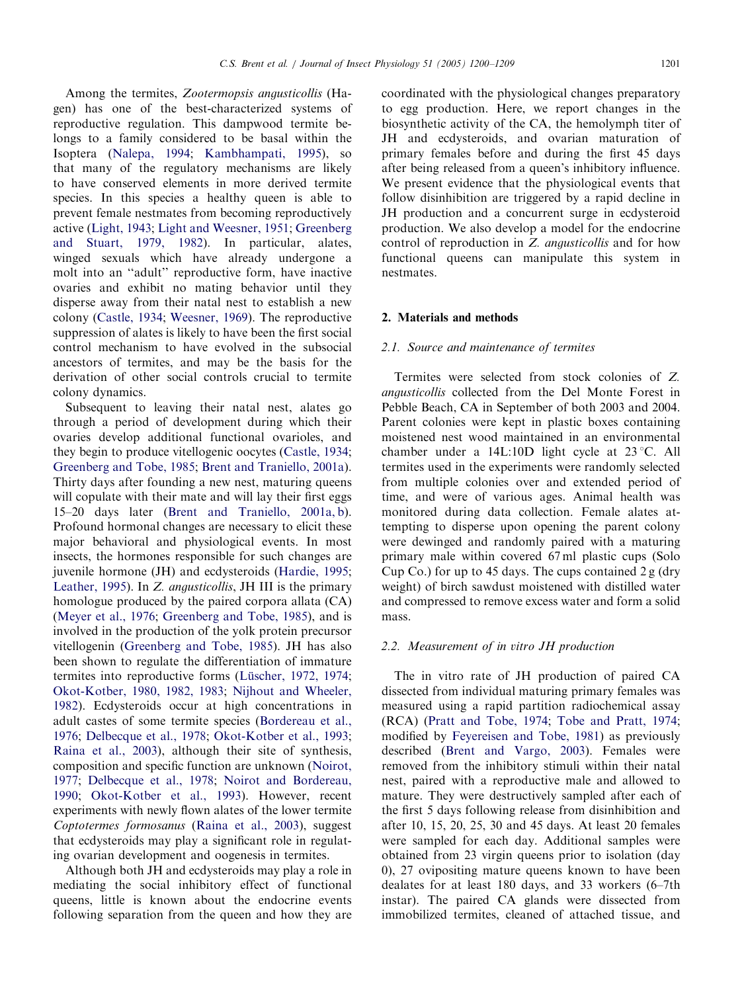Among the termites, Zootermopsis angusticollis (Hagen) has one of the best-characterized systems of reproductive regulation. This dampwood termite belongs to a family considered to be basal within the Isoptera ([Nalepa, 1994](#page-8-0); [Kambhampati, 1995](#page-7-0)), so that many of the regulatory mechanisms are likely to have conserved elements in more derived termite species. In this species a healthy queen is able to prevent female nestmates from becoming reproductively active ([Light, 1943](#page-7-0); [Light and Weesner, 1951;](#page-7-0) [Greenberg](#page-7-0) [and Stuart, 1979, 1982\)](#page-7-0). In particular, alates, winged sexuals which have already undergone a molt into an ''adult'' reproductive form, have inactive ovaries and exhibit no mating behavior until they disperse away from their natal nest to establish a new colony ([Castle, 1934](#page-7-0); [Weesner, 1969](#page-8-0)). The reproductive suppression of alates is likely to have been the first social control mechanism to have evolved in the subsocial ancestors of termites, and may be the basis for the derivation of other social controls crucial to termite colony dynamics.

Subsequent to leaving their natal nest, alates go through a period of development during which their ovaries develop additional functional ovarioles, and they begin to produce vitellogenic oocytes [\(Castle, 1934;](#page-7-0) [Greenberg and Tobe, 1985](#page-7-0); [Brent and Traniello, 2001a\)](#page-7-0). Thirty days after founding a new nest, maturing queens will copulate with their mate and will lay their first eggs 15–20 days later [\(Brent and Traniello, 2001a, b\)](#page-7-0). Profound hormonal changes are necessary to elicit these major behavioral and physiological events. In most insects, the hormones responsible for such changes are juvenile hormone (JH) and ecdysteroids ([Hardie, 1995;](#page-7-0) [Leather, 1995](#page-7-0)). In Z. angusticollis, JH III is the primary homologue produced by the paired corpora allata (CA) ([Meyer et al., 1976](#page-8-0); [Greenberg and Tobe, 1985](#page-7-0)), and is involved in the production of the yolk protein precursor vitellogenin ([Greenberg and Tobe, 1985](#page-7-0)). JH has also been shown to regulate the differentiation of immature termites into reproductive forms (Lüscher, 1972, 1974; [Okot-Kotber, 1980, 1982, 1983](#page-8-0); [Nijhout and Wheeler,](#page-8-0) [1982](#page-8-0)). Ecdysteroids occur at high concentrations in adult castes of some termite species ([Bordereau et al.,](#page-7-0) [1976](#page-7-0); [Delbecque et al., 1978](#page-7-0); [Okot-Kotber et al., 1993;](#page-8-0) [Raina et al., 2003\)](#page-8-0), although their site of synthesis, composition and specific function are unknown ([Noirot,](#page-8-0) [1977](#page-8-0); [Delbecque et al., 1978](#page-7-0); [Noirot and Bordereau,](#page-8-0) [1990](#page-8-0); [Okot-Kotber et al., 1993](#page-8-0)). However, recent experiments with newly flown alates of the lower termite Coptotermes formosanus ([Raina et al., 2003](#page-8-0)), suggest that ecdysteroids may play a significant role in regulating ovarian development and oogenesis in termites.

Although both JH and ecdysteroids may play a role in mediating the social inhibitory effect of functional queens, little is known about the endocrine events following separation from the queen and how they are

coordinated with the physiological changes preparatory to egg production. Here, we report changes in the biosynthetic activity of the CA, the hemolymph titer of JH and ecdysteroids, and ovarian maturation of primary females before and during the first 45 days after being released from a queen's inhibitory influence. We present evidence that the physiological events that follow disinhibition are triggered by a rapid decline in JH production and a concurrent surge in ecdysteroid production. We also develop a model for the endocrine control of reproduction in Z. angusticollis and for how functional queens can manipulate this system in nestmates.

# 2. Materials and methods

# 2.1. Source and maintenance of termites

Termites were selected from stock colonies of Z. angusticollis collected from the Del Monte Forest in Pebble Beach, CA in September of both 2003 and 2004. Parent colonies were kept in plastic boxes containing moistened nest wood maintained in an environmental chamber under a  $14L:10D$  light cycle at  $23^{\circ}$ C. All termites used in the experiments were randomly selected from multiple colonies over and extended period of time, and were of various ages. Animal health was monitored during data collection. Female alates attempting to disperse upon opening the parent colony were dewinged and randomly paired with a maturing primary male within covered 67 ml plastic cups (Solo Cup Co.) for up to 45 days. The cups contained 2 g (dry weight) of birch sawdust moistened with distilled water and compressed to remove excess water and form a solid mass.

# 2.2. Measurement of in vitro JH production

The in vitro rate of JH production of paired CA dissected from individual maturing primary females was measured using a rapid partition radiochemical assay (RCA) ([Pratt and Tobe, 1974;](#page-8-0) [Tobe and Pratt, 1974;](#page-8-0) modified by [Feyereisen and Tobe, 1981](#page-7-0)) as previously described ([Brent and Vargo, 2003](#page-7-0)). Females were removed from the inhibitory stimuli within their natal nest, paired with a reproductive male and allowed to mature. They were destructively sampled after each of the first 5 days following release from disinhibition and after 10, 15, 20, 25, 30 and 45 days. At least 20 females were sampled for each day. Additional samples were obtained from 23 virgin queens prior to isolation (day 0), 27 ovipositing mature queens known to have been dealates for at least 180 days, and 33 workers (6–7th instar). The paired CA glands were dissected from immobilized termites, cleaned of attached tissue, and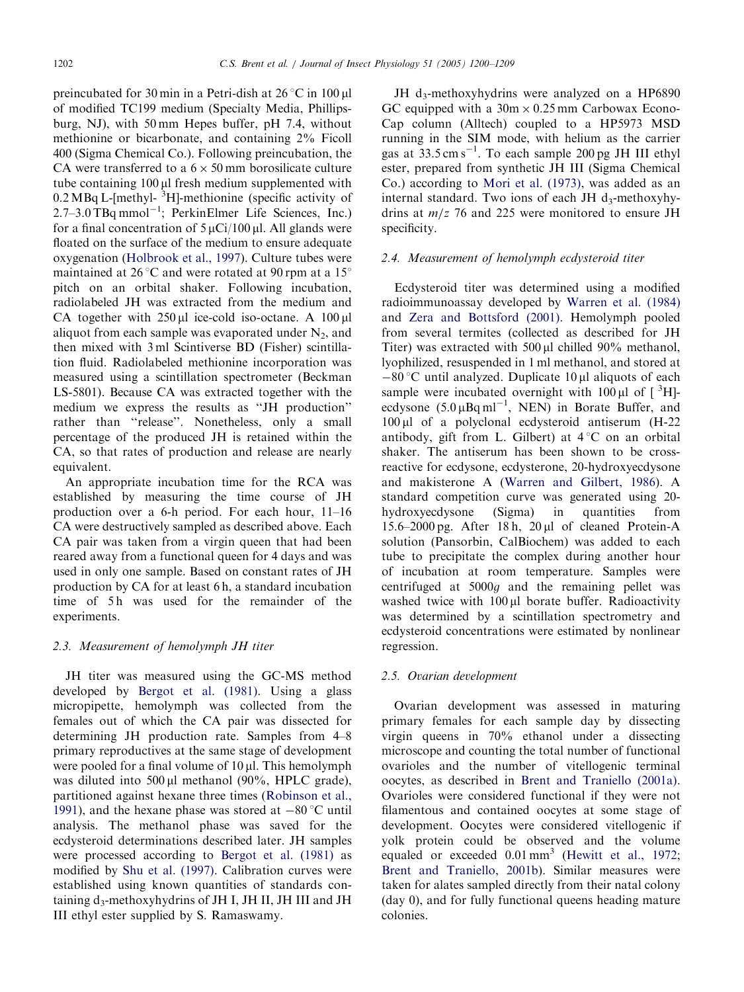preincubated for 30 min in a Petri-dish at  $26^{\circ}$ C in 100 ul of modified TC199 medium (Specialty Media, Phillipsburg, NJ), with 50 mm Hepes buffer, pH 7.4, without methionine or bicarbonate, and containing 2% Ficoll 400 (Sigma Chemical Co.). Following preincubation, the CA were transferred to a  $6 \times 50$  mm borosilicate culture tube containing  $100 \mu$  fresh medium supplemented with  $0.2$  MBq L-[methyl- $3$ H]-methionine (specific activity of  $2.7 - 3.0$  TBq mmol<sup>-1</sup>; PerkinElmer Life Sciences, Inc.) for a final concentration of  $5 \mu$ Ci/100  $\mu$ l. All glands were floated on the surface of the medium to ensure adequate oxygenation [\(Holbrook et al., 1997](#page-7-0)). Culture tubes were maintained at  $26^{\circ}$ C and were rotated at 90 rpm at a 15 $^{\circ}$ pitch on an orbital shaker. Following incubation, radiolabeled JH was extracted from the medium and CA together with  $250 \mu l$  ice-cold iso-octane. A  $100 \mu l$ aliquot from each sample was evaporated under  $N_2$ , and then mixed with 3 ml Scintiverse BD (Fisher) scintillation fluid. Radiolabeled methionine incorporation was measured using a scintillation spectrometer (Beckman LS-5801). Because CA was extracted together with the medium we express the results as ''JH production'' rather than ''release''. Nonetheless, only a small percentage of the produced JH is retained within the CA, so that rates of production and release are nearly equivalent.

An appropriate incubation time for the RCA was established by measuring the time course of JH production over a 6-h period. For each hour, 11–16 CA were destructively sampled as described above. Each CA pair was taken from a virgin queen that had been reared away from a functional queen for 4 days and was used in only one sample. Based on constant rates of JH production by CA for at least 6 h, a standard incubation time of 5h was used for the remainder of the experiments.

### 2.3. Measurement of hemolymph JH titer

JH titer was measured using the GC-MS method developed by [Bergot et al. \(1981\)](#page-6-0). Using a glass micropipette, hemolymph was collected from the females out of which the CA pair was dissected for determining JH production rate. Samples from 4–8 primary reproductives at the same stage of development were pooled for a final volume of  $10 \mu$ . This hemolymph was diluted into  $500 \mu l$  methanol (90%, HPLC grade), partitioned against hexane three times ([Robinson et al.,](#page-8-0) [1991](#page-8-0)), and the hexane phase was stored at  $-80^{\circ}$ C until analysis. The methanol phase was saved for the ecdysteroid determinations described later. JH samples were processed according to [Bergot et al. \(1981\)](#page-6-0) as modified by [Shu et al. \(1997\)](#page-8-0). Calibration curves were established using known quantities of standards containing  $d_3$ -methoxyhydrins of JH I, JH II, JH III and JH III ethyl ester supplied by S. Ramaswamy.

JH d3-methoxyhydrins were analyzed on a HP6890 GC equipped with a  $30m \times 0.25$  mm Carbowax Econo-Cap column (Alltech) coupled to a HP5973 MSD running in the SIM mode, with helium as the carrier gas at  $33.5 \text{ cm s}^{-1}$ . To each sample 200 pg JH III ethyl ester, prepared from synthetic JH III (Sigma Chemical Co.) according to [Mori et al. \(1973\)](#page-8-0), was added as an internal standard. Two ions of each JH  $d_3$ -methoxyhydrins at  $m/z$  76 and 225 were monitored to ensure JH specificity.

#### 2.4. Measurement of hemolymph ecdysteroid titer

Ecdysteroid titer was determined using a modified radioimmunoassay developed by [Warren et al. \(1984\)](#page-8-0) and [Zera and Bottsford \(2001\)](#page-9-0). Hemolymph pooled from several termites (collected as described for JH Titer) was extracted with 500 ul chilled 90% methanol, lyophilized, resuspended in 1 ml methanol, and stored at  $-80$  °C until analyzed. Duplicate 10 µl aliquots of each sample were incubated overnight with  $100 \mu l$  of  $\left[ \frac{3H}{2} \right]$ ecdysone  $(5.0 \,\mu\text{Bq} \,\text{ml}^{-1}$ , NEN) in Borate Buffer, and  $100 \mu l$  of a polyclonal ecdysteroid antiserum (H-22) antibody, gift from L. Gilbert) at  $4^{\circ}$ C on an orbital shaker. The antiserum has been shown to be crossreactive for ecdysone, ecdysterone, 20-hydroxyecdysone and makisterone A ([Warren and Gilbert, 1986\)](#page-8-0). A standard competition curve was generated using 20 hydroxyecdysone (Sigma) in quantities from 15.6–2000 pg. After 18 h,  $20 \mu l$  of cleaned Protein-A solution (Pansorbin, CalBiochem) was added to each tube to precipitate the complex during another hour of incubation at room temperature. Samples were centrifuged at 5000g and the remaining pellet was washed twice with  $100 \mu l$  borate buffer. Radioactivity was determined by a scintillation spectrometry and ecdysteroid concentrations were estimated by nonlinear regression.

# 2.5. Ovarian development

Ovarian development was assessed in maturing primary females for each sample day by dissecting virgin queens in 70% ethanol under a dissecting microscope and counting the total number of functional ovarioles and the number of vitellogenic terminal oocytes, as described in [Brent and Traniello \(2001a\).](#page-7-0) Ovarioles were considered functional if they were not filamentous and contained oocytes at some stage of development. Oocytes were considered vitellogenic if yolk protein could be observed and the volume equaled or exceeded  $0.01 \text{ mm}^3$  [\(Hewitt et al., 1972;](#page-7-0) [Brent and Traniello, 2001b\)](#page-7-0). Similar measures were taken for alates sampled directly from their natal colony (day 0), and for fully functional queens heading mature colonies.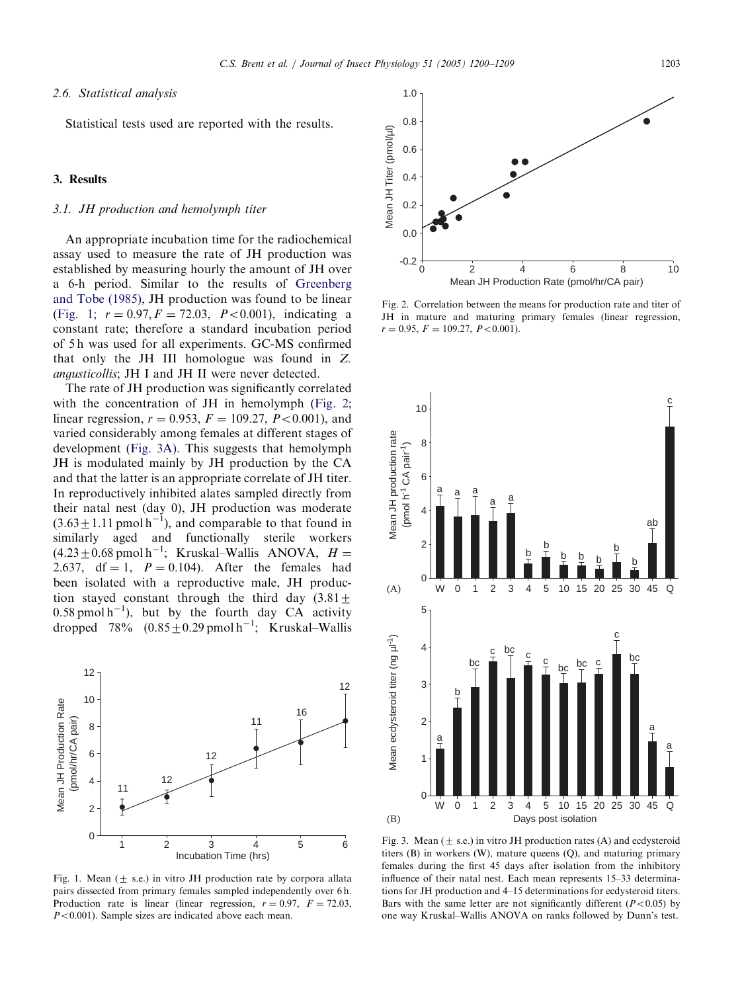# <span id="page-3-0"></span>2.6. Statistical analysis

Statistical tests used are reported with the results.

#### 3. Results

# 3.1. JH production and hemolymph titer

An appropriate incubation time for the radiochemical assay used to measure the rate of JH production was established by measuring hourly the amount of JH over a 6-h period. Similar to the results of [Greenberg](#page-7-0) [and Tobe \(1985\)](#page-7-0), JH production was found to be linear (Fig. 1;  $r = 0.97, F = 72.03, P < 0.001$ ), indicating a constant rate; therefore a standard incubation period of 5 h was used for all experiments. GC-MS confirmed that only the JH III homologue was found in Z. angusticollis; JH I and JH II were never detected.

The rate of JH production was significantly correlated with the concentration of JH in hemolymph (Fig. 2; linear regression,  $r = 0.953$ ,  $F = 109.27$ ,  $P < 0.001$ ), and varied considerably among females at different stages of development (Fig. 3A). This suggests that hemolymph JH is modulated mainly by JH production by the CA and that the latter is an appropriate correlate of JH titer. In reproductively inhibited alates sampled directly from their natal nest (day 0), JH production was moderate  $(3.63 \pm 1.11 \text{ pmol h}^{-1})$ , and comparable to that found in similarly aged and functionally sterile workers  $(4.23 \pm 0.68 \text{ pmol h}^{-1})$ ; Kruskal–Wallis ANOVA,  $H =$ 2.637, df = 1,  $P = 0.104$ ). After the females had been isolated with a reproductive male, JH production stayed constant through the third day  $(3.81 \pm$  $0.58$  pmol h<sup>-1</sup>), but by the fourth day CA activity dropped  $78\%$   $(0.85 \pm 0.29 \text{ pmol h}^{-1})$ ; Kruskal–Wallis



Fig. 1. Mean ( $\pm$  s.e.) in vitro JH production rate by corpora allata pairs dissected from primary females sampled independently over 6 h. Production rate is linear (linear regression,  $r = 0.97$ ,  $F = 72.03$ ,  $P<0.001$ ). Sample sizes are indicated above each mean.



Fig. 2. Correlation between the means for production rate and titer of JH in mature and maturing primary females (linear regression,  $r = 0.95, F = 109.27, P < 0.001$ .



Fig. 3. Mean ( $\pm$  s.e.) in vitro JH production rates (A) and ecdysteroid titers (B) in workers (W), mature queens (Q), and maturing primary females during the first 45 days after isolation from the inhibitory influence of their natal nest. Each mean represents 15–33 determinations for JH production and 4–15 determinations for ecdysteroid titers. Bars with the same letter are not significantly different  $(P<0.05)$  by one way Kruskal–Wallis ANOVA on ranks followed by Dunn's test.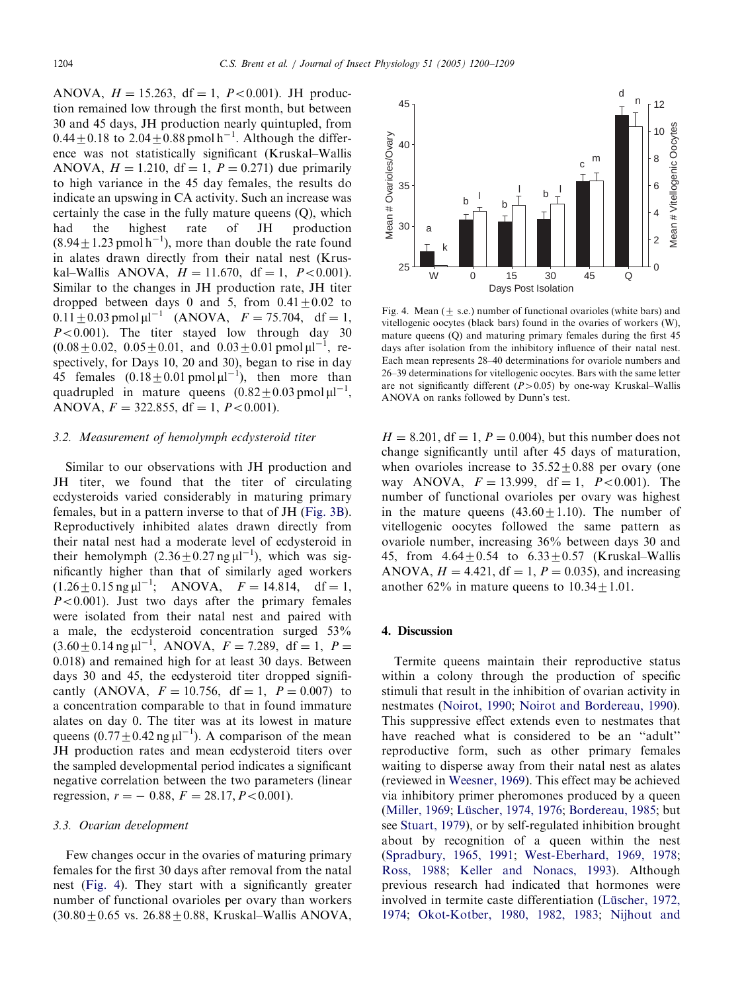<span id="page-4-0"></span>ANOVA,  $H = 15.263$ , df = 1,  $P < 0.001$ ). JH production remained low through the first month, but between 30 and 45 days, JH production nearly quintupled, from  $0.44 \pm 0.18$  to  $2.04 \pm 0.88$  pmol h<sup>-1</sup>. Although the difference was not statistically significant (Kruskal–Wallis ANOVA,  $H = 1.210$ , df = 1,  $P = 0.271$ ) due primarily to high variance in the 45 day females, the results do indicate an upswing in CA activity. Such an increase was certainly the case in the fully mature queens (Q), which had the highest rate of JH production  $(8.94 \pm 1.23 \text{ pmol h}^{-1})$ , more than double the rate found in alates drawn directly from their natal nest (Kruskal–Wallis ANOVA,  $H = 11.670$ , df = 1,  $P < 0.001$ ). Similar to the changes in JH production rate, JH titer dropped between days 0 and 5, from  $0.41 \pm 0.02$  to  $0.11 \pm 0.03$  pmol  $\mu$ <sup>-1</sup> (ANOVA,  $F = 75.704$ , df = 1,  $P<0.001$ ). The titer stayed low through day 30  $(0.08 \pm 0.02, 0.05 \pm 0.01, \text{ and } 0.03 \pm 0.01 \text{ pmol }\mu\text{L}^{-1}, \text{ re-}$ spectively, for Days 10, 20 and 30), began to rise in day 45 females  $(0.18 \pm 0.01 \text{ pmol }\mu\text{I}^{-1})$ , then more than quadrupled in mature queens  $(0.82 \pm 0.03 \text{ pmol }\mu l^{-1})$ , ANOVA,  $F = 322.855$ , df = 1,  $P < 0.001$ ).

# 3.2. Measurement of hemolymph ecdysteroid titer

Similar to our observations with JH production and JH titer, we found that the titer of circulating ecdysteroids varied considerably in maturing primary females, but in a pattern inverse to that of JH [\(Fig. 3B\)](#page-3-0). Reproductively inhibited alates drawn directly from their natal nest had a moderate level of ecdysteroid in their hemolymph  $(2.36 \pm 0.27 \text{ ng }\mu\text{m}^{-1})$ , which was significantly higher than that of similarly aged workers  $(1.26 \pm 0.15 \text{ ng }\mu\text{I}^{-1})$ ; ANOVA,  $F = 14.814$ , df = 1,  $P<0.001$ ). Just two days after the primary females were isolated from their natal nest and paired with a male, the ecdysteroid concentration surged 53%  $(3.60 \pm 0.14 \,\text{ng}\,\text{µ}^{-1}$ , ANOVA,  $F = 7.289$ , df = 1,  $P =$ 0:018) and remained high for at least 30 days. Between days 30 and 45, the ecdysteroid titer dropped significantly (ANOVA,  $F = 10.756$ , df = 1,  $P = 0.007$ ) to a concentration comparable to that in found immature alates on day 0. The titer was at its lowest in mature queens  $(0.77 \pm 0.42 \text{ ng }\mu\text{I}^{-1})$ . A comparison of the mean JH production rates and mean ecdysteroid titers over the sampled developmental period indicates a significant negative correlation between the two parameters (linear regression,  $r = -0.88$ ,  $F = 28.17$ ,  $P < 0.001$ ).

#### 3.3. Ovarian development

Few changes occur in the ovaries of maturing primary females for the first 30 days after removal from the natal nest (Fig. 4). They start with a significantly greater number of functional ovarioles per ovary than workers  $(30.80 + 0.65 \text{ vs. } 26.88 + 0.88,$  Kruskal–Wallis ANOVA,



Fig. 4. Mean ( $\pm$  s.e.) number of functional ovarioles (white bars) and vitellogenic oocytes (black bars) found in the ovaries of workers (W), mature queens (Q) and maturing primary females during the first 45 days after isolation from the inhibitory influence of their natal nest. Each mean represents 28–40 determinations for ovariole numbers and 26–39 determinations for vitellogenic oocytes. Bars with the same letter are not significantly different  $(P>0.05)$  by one-way Kruskal–Wallis ANOVA on ranks followed by Dunn's test.

 $H = 8.201$ , df = 1,  $P = 0.004$ ), but this number does not change significantly until after 45 days of maturation, when ovarioles increase to  $35.52 \pm 0.88$  per ovary (one way ANOVA,  $F = 13.999$ ,  $df = 1$ ,  $P < 0.001$ ). The number of functional ovarioles per ovary was highest in the mature queens  $(43.60+1.10)$ . The number of vitellogenic oocytes followed the same pattern as ovariole number, increasing 36% between days 30 and 45, from  $4.64 \pm 0.54$  to  $6.33 \pm 0.57$  (Kruskal–Wallis ANOVA,  $H = 4.421$ , df = 1,  $P = 0.035$ ), and increasing another 62% in mature queens to  $10.34 \pm 1.01$ .

#### 4. Discussion

Termite queens maintain their reproductive status within a colony through the production of specific stimuli that result in the inhibition of ovarian activity in nestmates [\(Noirot, 1990](#page-8-0); [Noirot and Bordereau, 1990\)](#page-8-0). This suppressive effect extends even to nestmates that have reached what is considered to be an "adult" reproductive form, such as other primary females waiting to disperse away from their natal nest as alates (reviewed in [Weesner, 1969](#page-8-0)). This effect may be achieved via inhibitory primer pheromones produced by a queen ([Miller, 1969](#page-8-0); Lüscher, 1974, 1976; [Bordereau, 1985](#page-7-0); but see [Stuart, 1979\)](#page-8-0), or by self-regulated inhibition brought about by recognition of a queen within the nest ([Spradbury, 1965, 1991](#page-8-0); [West-Eberhard, 1969, 1978;](#page-8-0) [Ross, 1988](#page-8-0); [Keller and Nonacs, 1993\)](#page-7-0). Although previous research had indicated that hormones were involved in termite caste differentiation (Lüscher, 1972, [1974](#page-7-0); [Okot-Kotber, 1980, 1982, 1983](#page-8-0); [Nijhout and](#page-8-0)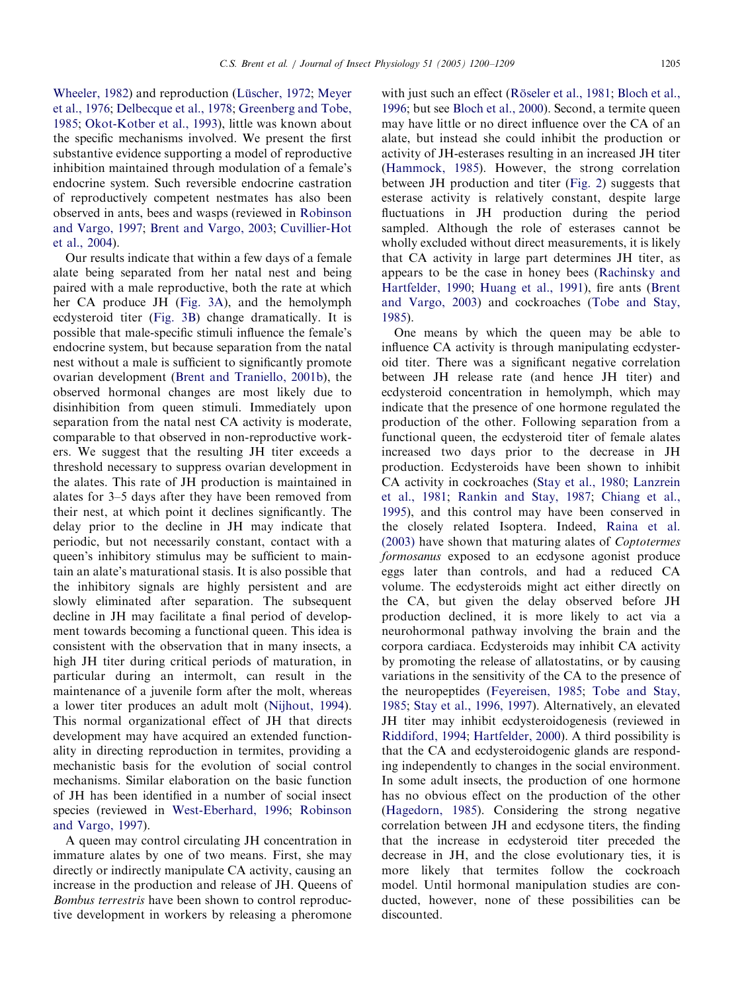[Wheeler, 1982\)](#page-8-0) and reproduction (Lüscher, 1972; [Meyer](#page-8-0) [et al., 1976](#page-8-0); [Delbecque et al., 1978;](#page-7-0) [Greenberg and Tobe,](#page-7-0) [1985](#page-7-0); [Okot-Kotber et al., 1993](#page-8-0)), little was known about the specific mechanisms involved. We present the first substantive evidence supporting a model of reproductive inhibition maintained through modulation of a female's endocrine system. Such reversible endocrine castration of reproductively competent nestmates has also been observed in ants, bees and wasps (reviewed in [Robinson](#page-8-0) [and Vargo, 1997](#page-8-0); [Brent and Vargo, 2003;](#page-7-0) [Cuvillier-Hot](#page-7-0) [et al., 2004\)](#page-7-0).

Our results indicate that within a few days of a female alate being separated from her natal nest and being paired with a male reproductive, both the rate at which her CA produce JH ([Fig. 3A](#page-3-0)), and the hemolymph ecdysteroid titer ([Fig. 3B\)](#page-3-0) change dramatically. It is possible that male-specific stimuli influence the female's endocrine system, but because separation from the natal nest without a male is sufficient to significantly promote ovarian development [\(Brent and Traniello, 2001b\)](#page-7-0), the observed hormonal changes are most likely due to disinhibition from queen stimuli. Immediately upon separation from the natal nest CA activity is moderate, comparable to that observed in non-reproductive workers. We suggest that the resulting JH titer exceeds a threshold necessary to suppress ovarian development in the alates. This rate of JH production is maintained in alates for 3–5 days after they have been removed from their nest, at which point it declines significantly. The delay prior to the decline in JH may indicate that periodic, but not necessarily constant, contact with a queen's inhibitory stimulus may be sufficient to maintain an alate's maturational stasis. It is also possible that the inhibitory signals are highly persistent and are slowly eliminated after separation. The subsequent decline in JH may facilitate a final period of development towards becoming a functional queen. This idea is consistent with the observation that in many insects, a high JH titer during critical periods of maturation, in particular during an intermolt, can result in the maintenance of a juvenile form after the molt, whereas a lower titer produces an adult molt ([Nijhout, 1994\)](#page-8-0). This normal organizational effect of JH that directs development may have acquired an extended functionality in directing reproduction in termites, providing a mechanistic basis for the evolution of social control mechanisms. Similar elaboration on the basic function of JH has been identified in a number of social insect species (reviewed in [West-Eberhard, 1996](#page-9-0); [Robinson](#page-8-0) [and Vargo, 1997](#page-8-0)).

A queen may control circulating JH concentration in immature alates by one of two means. First, she may directly or indirectly manipulate CA activity, causing an increase in the production and release of JH. Queens of Bombus terrestris have been shown to control reproductive development in workers by releasing a pheromone

with just such an effect (Röseler et al., 1981; [Bloch et al.,](#page-7-0) [1996](#page-7-0); but see [Bloch et al., 2000](#page-7-0)). Second, a termite queen may have little or no direct influence over the CA of an alate, but instead she could inhibit the production or activity of JH-esterases resulting in an increased JH titer ([Hammock, 1985](#page-7-0)). However, the strong correlation between JH production and titer ([Fig. 2\)](#page-3-0) suggests that esterase activity is relatively constant, despite large fluctuations in JH production during the period sampled. Although the role of esterases cannot be wholly excluded without direct measurements, it is likely that CA activity in large part determines JH titer, as appears to be the case in honey bees [\(Rachinsky and](#page-8-0) [Hartfelder, 1990](#page-8-0); [Huang et al., 1991](#page-7-0)), fire ants ([Brent](#page-7-0) [and Vargo, 2003\)](#page-7-0) and cockroaches ([Tobe and Stay,](#page-8-0) [1985](#page-8-0)).

One means by which the queen may be able to influence CA activity is through manipulating ecdysteroid titer. There was a significant negative correlation between JH release rate (and hence JH titer) and ecdysteroid concentration in hemolymph, which may indicate that the presence of one hormone regulated the production of the other. Following separation from a functional queen, the ecdysteroid titer of female alates increased two days prior to the decrease in JH production. Ecdysteroids have been shown to inhibit CA activity in cockroaches ([Stay et al., 1980](#page-8-0); [Lanzrein](#page-7-0) [et al., 1981;](#page-7-0) [Rankin and Stay, 1987;](#page-8-0) [Chiang et al.,](#page-7-0) [1995](#page-7-0)), and this control may have been conserved in the closely related Isoptera. Indeed, [Raina et al.](#page-8-0) [\(2003\)](#page-8-0) have shown that maturing alates of Coptotermes formosanus exposed to an ecdysone agonist produce eggs later than controls, and had a reduced CA volume. The ecdysteroids might act either directly on the CA, but given the delay observed before JH production declined, it is more likely to act via a neurohormonal pathway involving the brain and the corpora cardiaca. Ecdysteroids may inhibit CA activity by promoting the release of allatostatins, or by causing variations in the sensitivity of the CA to the presence of the neuropeptides ([Feyereisen, 1985](#page-7-0); [Tobe and Stay,](#page-8-0) [1985](#page-8-0); [Stay et al., 1996, 1997\)](#page-8-0). Alternatively, an elevated JH titer may inhibit ecdysteroidogenesis (reviewed in [Riddiford, 1994](#page-8-0); [Hartfelder, 2000\)](#page-7-0). A third possibility is that the CA and ecdysteroidogenic glands are responding independently to changes in the social environment. In some adult insects, the production of one hormone has no obvious effect on the production of the other ([Hagedorn, 1985\)](#page-7-0). Considering the strong negative correlation between JH and ecdysone titers, the finding that the increase in ecdysteroid titer preceded the decrease in JH, and the close evolutionary ties, it is more likely that termites follow the cockroach model. Until hormonal manipulation studies are conducted, however, none of these possibilities can be discounted.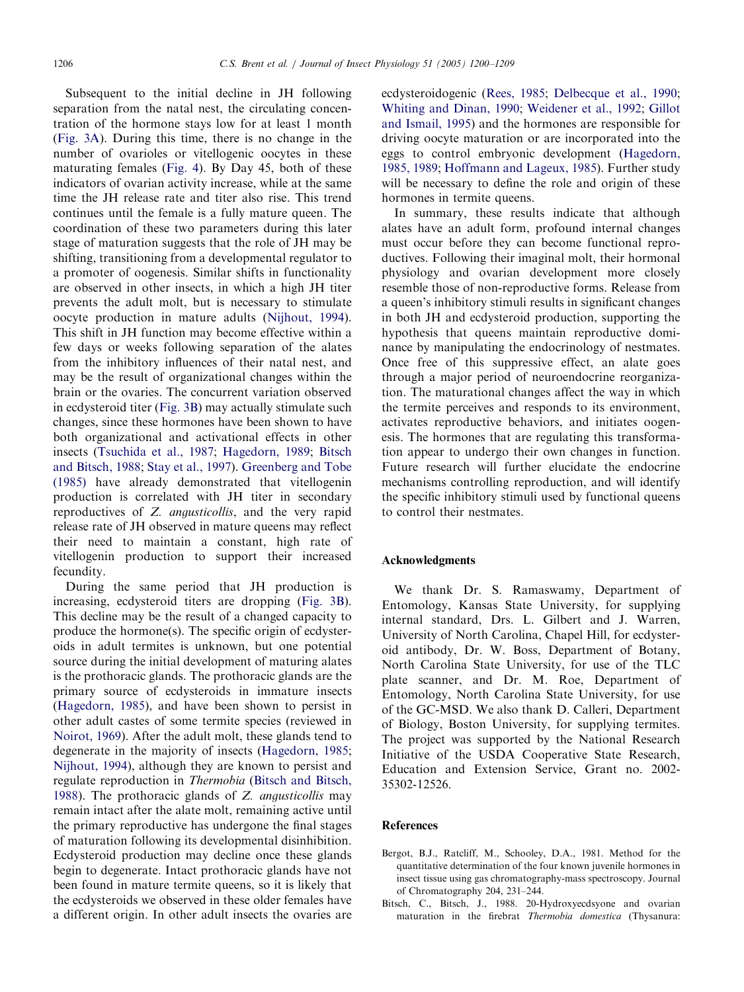<span id="page-6-0"></span>Subsequent to the initial decline in JH following separation from the natal nest, the circulating concentration of the hormone stays low for at least 1 month ([Fig. 3A\)](#page-3-0). During this time, there is no change in the number of ovarioles or vitellogenic oocytes in these maturating females [\(Fig. 4](#page-4-0)). By Day 45, both of these indicators of ovarian activity increase, while at the same time the JH release rate and titer also rise. This trend continues until the female is a fully mature queen. The coordination of these two parameters during this later stage of maturation suggests that the role of JH may be shifting, transitioning from a developmental regulator to a promoter of oogenesis. Similar shifts in functionality are observed in other insects, in which a high JH titer prevents the adult molt, but is necessary to stimulate oocyte production in mature adults ([Nijhout, 1994\)](#page-8-0). This shift in JH function may become effective within a few days or weeks following separation of the alates from the inhibitory influences of their natal nest, and may be the result of organizational changes within the brain or the ovaries. The concurrent variation observed in ecdysteroid titer [\(Fig. 3B](#page-3-0)) may actually stimulate such changes, since these hormones have been shown to have both organizational and activational effects in other insects [\(Tsuchida et al., 1987](#page-8-0); [Hagedorn, 1989](#page-7-0); Bitsch and Bitsch, 1988; [Stay et al., 1997\)](#page-8-0). [Greenberg and Tobe](#page-7-0) [\(1985\)](#page-7-0) have already demonstrated that vitellogenin production is correlated with JH titer in secondary reproductives of Z. angusticollis, and the very rapid release rate of JH observed in mature queens may reflect their need to maintain a constant, high rate of vitellogenin production to support their increased fecundity.

During the same period that JH production is increasing, ecdysteroid titers are dropping [\(Fig. 3B\)](#page-3-0). This decline may be the result of a changed capacity to produce the hormone(s). The specific origin of ecdysteroids in adult termites is unknown, but one potential source during the initial development of maturing alates is the prothoracic glands. The prothoracic glands are the primary source of ecdysteroids in immature insects ([Hagedorn, 1985\)](#page-7-0), and have been shown to persist in other adult castes of some termite species (reviewed in [Noirot, 1969](#page-8-0)). After the adult molt, these glands tend to degenerate in the majority of insects [\(Hagedorn, 1985;](#page-7-0) [Nijhout, 1994\)](#page-8-0), although they are known to persist and regulate reproduction in Thermobia (Bitsch and Bitsch, 1988). The prothoracic glands of Z. angusticollis may remain intact after the alate molt, remaining active until the primary reproductive has undergone the final stages of maturation following its developmental disinhibition. Ecdysteroid production may decline once these glands begin to degenerate. Intact prothoracic glands have not been found in mature termite queens, so it is likely that the ecdysteroids we observed in these older females have a different origin. In other adult insects the ovaries are

ecdysteroidogenic ([Rees, 1985](#page-8-0); [Delbecque et al., 1990;](#page-7-0) [Whiting and Dinan, 1990;](#page-9-0) [Weidener et al., 1992](#page-8-0); [Gillot](#page-7-0) [and Ismail, 1995\)](#page-7-0) and the hormones are responsible for driving oocyte maturation or are incorporated into the eggs to control embryonic development ([Hagedorn,](#page-7-0) [1985, 1989;](#page-7-0) [Hoffmann and Lageux, 1985\)](#page-7-0). Further study will be necessary to define the role and origin of these hormones in termite queens.

In summary, these results indicate that although alates have an adult form, profound internal changes must occur before they can become functional reproductives. Following their imaginal molt, their hormonal physiology and ovarian development more closely resemble those of non-reproductive forms. Release from a queen's inhibitory stimuli results in significant changes in both JH and ecdysteroid production, supporting the hypothesis that queens maintain reproductive dominance by manipulating the endocrinology of nestmates. Once free of this suppressive effect, an alate goes through a major period of neuroendocrine reorganization. The maturational changes affect the way in which the termite perceives and responds to its environment, activates reproductive behaviors, and initiates oogenesis. The hormones that are regulating this transformation appear to undergo their own changes in function. Future research will further elucidate the endocrine mechanisms controlling reproduction, and will identify the specific inhibitory stimuli used by functional queens to control their nestmates.

#### Acknowledgments

We thank Dr. S. Ramaswamy, Department of Entomology, Kansas State University, for supplying internal standard, Drs. L. Gilbert and J. Warren, University of North Carolina, Chapel Hill, for ecdysteroid antibody, Dr. W. Boss, Department of Botany, North Carolina State University, for use of the TLC plate scanner, and Dr. M. Roe, Department of Entomology, North Carolina State University, for use of the GC-MSD. We also thank D. Calleri, Department of Biology, Boston University, for supplying termites. The project was supported by the National Research Initiative of the USDA Cooperative State Research, Education and Extension Service, Grant no. 2002- 35302-12526.

#### References

- Bergot, B.J., Ratcliff, M., Schooley, D.A., 1981. Method for the quantitative determination of the four known juvenile hormones in insect tissue using gas chromatography-mass spectroscopy. Journal of Chromatography 204, 231–244.
- Bitsch, C., Bitsch, J., 1988. 20-Hydroxyecdsyone and ovarian maturation in the firebrat Thermobia domestica (Thysanura: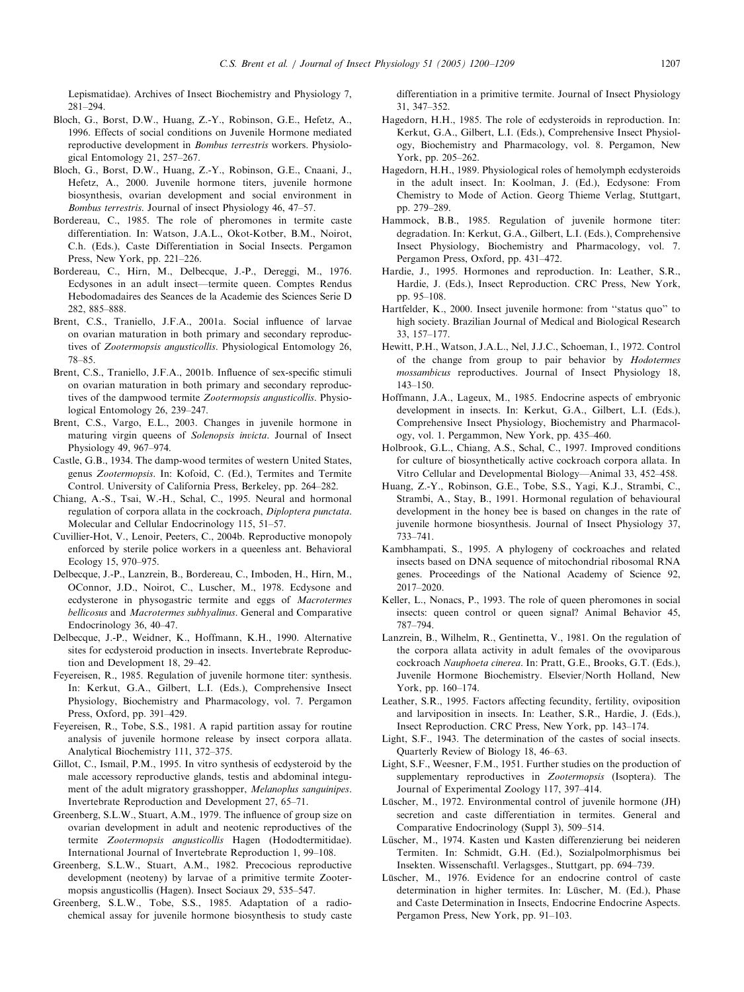<span id="page-7-0"></span>Lepismatidae). Archives of Insect Biochemistry and Physiology 7, 281–294.

- Bloch, G., Borst, D.W., Huang, Z.-Y., Robinson, G.E., Hefetz, A., 1996. Effects of social conditions on Juvenile Hormone mediated reproductive development in Bombus terrestris workers. Physiological Entomology 21, 257–267.
- Bloch, G., Borst, D.W., Huang, Z.-Y., Robinson, G.E., Cnaani, J., Hefetz, A., 2000. Juvenile hormone titers, juvenile hormone biosynthesis, ovarian development and social environment in Bombus terrestris. Journal of insect Physiology 46, 47–57.
- Bordereau, C., 1985. The role of pheromones in termite caste differentiation. In: Watson, J.A.L., Okot-Kotber, B.M., Noirot, C.h. (Eds.), Caste Differentiation in Social Insects. Pergamon Press, New York, pp. 221–226.
- Bordereau, C., Hirn, M., Delbecque, J.-P., Dereggi, M., 1976. Ecdysones in an adult insect—termite queen. Comptes Rendus Hebodomadaires des Seances de la Academie des Sciences Serie D 282, 885–888.
- Brent, C.S., Traniello, J.F.A., 2001a. Social influence of larvae on ovarian maturation in both primary and secondary reproductives of Zootermopsis angusticollis. Physiological Entomology 26, 78–85.
- Brent, C.S., Traniello, J.F.A., 2001b. Influence of sex-specific stimuli on ovarian maturation in both primary and secondary reproductives of the dampwood termite Zootermopsis angusticollis. Physiological Entomology 26, 239–247.
- Brent, C.S., Vargo, E.L., 2003. Changes in juvenile hormone in maturing virgin queens of Solenopsis invicta. Journal of Insect Physiology 49, 967–974.
- Castle, G.B., 1934. The damp-wood termites of western United States, genus Zootermopsis. In: Kofoid, C. (Ed.), Termites and Termite Control. University of California Press, Berkeley, pp. 264–282.
- Chiang, A.-S., Tsai, W.-H., Schal, C., 1995. Neural and hormonal regulation of corpora allata in the cockroach, Diploptera punctata. Molecular and Cellular Endocrinology 115, 51–57.
- Cuvillier-Hot, V., Lenoir, Peeters, C., 2004b. Reproductive monopoly enforced by sterile police workers in a queenless ant. Behavioral Ecology 15, 970–975.
- Delbecque, J.-P., Lanzrein, B., Bordereau, C., Imboden, H., Hirn, M., OConnor, J.D., Noirot, C., Luscher, M., 1978. Ecdysone and ecdysterone in physogastric termite and eggs of Macrotermes bellicosus and Macrotermes subhyalinus. General and Comparative Endocrinology 36, 40–47.
- Delbecque, J.-P., Weidner, K., Hoffmann, K.H., 1990. Alternative sites for ecdysteroid production in insects. Invertebrate Reproduction and Development 18, 29–42.
- Feyereisen, R., 1985. Regulation of juvenile hormone titer: synthesis. In: Kerkut, G.A., Gilbert, L.I. (Eds.), Comprehensive Insect Physiology, Biochemistry and Pharmacology, vol. 7. Pergamon Press, Oxford, pp. 391–429.
- Feyereisen, R., Tobe, S.S., 1981. A rapid partition assay for routine analysis of juvenile hormone release by insect corpora allata. Analytical Biochemistry 111, 372–375.
- Gillot, C., Ismail, P.M., 1995. In vitro synthesis of ecdysteroid by the male accessory reproductive glands, testis and abdominal integument of the adult migratory grasshopper, Melanoplus sanguinipes. Invertebrate Reproduction and Development 27, 65–71.
- Greenberg, S.L.W., Stuart, A.M., 1979. The influence of group size on ovarian development in adult and neotenic reproductives of the termite Zootermopsis angusticollis Hagen (Hododtermitidae). International Journal of Invertebrate Reproduction 1, 99–108.
- Greenberg, S.L.W., Stuart, A.M., 1982. Precocious reproductive development (neoteny) by larvae of a primitive termite Zootermopsis angusticollis (Hagen). Insect Sociaux 29, 535–547.
- Greenberg, S.L.W., Tobe, S.S., 1985. Adaptation of a radiochemical assay for juvenile hormone biosynthesis to study caste

differentiation in a primitive termite. Journal of Insect Physiology 31, 347–352.

- Hagedorn, H.H., 1985. The role of ecdysteroids in reproduction. In: Kerkut, G.A., Gilbert, L.I. (Eds.), Comprehensive Insect Physiology, Biochemistry and Pharmacology, vol. 8. Pergamon, New York, pp. 205–262.
- Hagedorn, H.H., 1989. Physiological roles of hemolymph ecdysteroids in the adult insect. In: Koolman, J. (Ed.), Ecdysone: From Chemistry to Mode of Action. Georg Thieme Verlag, Stuttgart, pp. 279–289.
- Hammock, B.B., 1985. Regulation of juvenile hormone titer: degradation. In: Kerkut, G.A., Gilbert, L.I. (Eds.), Comprehensive Insect Physiology, Biochemistry and Pharmacology, vol. 7. Pergamon Press, Oxford, pp. 431–472.
- Hardie, J., 1995. Hormones and reproduction. In: Leather, S.R., Hardie, J. (Eds.), Insect Reproduction. CRC Press, New York, pp. 95–108.
- Hartfelder, K., 2000. Insect juvenile hormone: from ''status quo'' to high society. Brazilian Journal of Medical and Biological Research 33, 157–177.
- Hewitt, P.H., Watson, J.A.L., Nel, J.J.C., Schoeman, I., 1972. Control of the change from group to pair behavior by Hodotermes mossambicus reproductives. Journal of Insect Physiology 18, 143–150.
- Hoffmann, J.A., Lageux, M., 1985. Endocrine aspects of embryonic development in insects. In: Kerkut, G.A., Gilbert, L.I. (Eds.), Comprehensive Insect Physiology, Biochemistry and Pharmacology, vol. 1. Pergammon, New York, pp. 435–460.
- Holbrook, G.L., Chiang, A.S., Schal, C., 1997. Improved conditions for culture of biosynthetically active cockroach corpora allata. In Vitro Cellular and Developmental Biology—Animal 33, 452–458.
- Huang, Z.-Y., Robinson, G.E., Tobe, S.S., Yagi, K.J., Strambi, C., Strambi, A., Stay, B., 1991. Hormonal regulation of behavioural development in the honey bee is based on changes in the rate of juvenile hormone biosynthesis. Journal of Insect Physiology 37, 733–741.
- Kambhampati, S., 1995. A phylogeny of cockroaches and related insects based on DNA sequence of mitochondrial ribosomal RNA genes. Proceedings of the National Academy of Science 92, 2017–2020.
- Keller, L., Nonacs, P., 1993. The role of queen pheromones in social insects: queen control or queen signal? Animal Behavior 45, 787–794.
- Lanzrein, B., Wilhelm, R., Gentinetta, V., 1981. On the regulation of the corpora allata activity in adult females of the ovoviparous cockroach Nauphoeta cinerea. In: Pratt, G.E., Brooks, G.T. (Eds.), Juvenile Hormone Biochemistry. Elsevier/North Holland, New York, pp. 160–174.
- Leather, S.R., 1995. Factors affecting fecundity, fertility, oviposition and larviposition in insects. In: Leather, S.R., Hardie, J. (Eds.), Insect Reproduction. CRC Press, New York, pp. 143–174.
- Light, S.F., 1943. The determination of the castes of social insects. Quarterly Review of Biology 18, 46–63.
- Light, S.F., Weesner, F.M., 1951. Further studies on the production of supplementary reproductives in Zootermopsis (Isoptera). The Journal of Experimental Zoology 117, 397–414.
- Lüscher, M., 1972. Environmental control of juvenile hormone (JH) secretion and caste differentiation in termites. General and Comparative Endocrinology (Suppl 3), 509–514.
- Lüscher, M., 1974. Kasten und Kasten differenzierung bei neideren Termiten. In: Schmidt, G.H. (Ed.), Sozialpolmorphismus bei Insekten. Wissenschaftl. Verlagsges., Stuttgart, pp. 694–739.
- Lüscher, M., 1976. Evidence for an endocrine control of caste determination in higher termites. In: Lüscher, M. (Ed.), Phase and Caste Determination in Insects, Endocrine Endocrine Aspects. Pergamon Press, New York, pp. 91–103.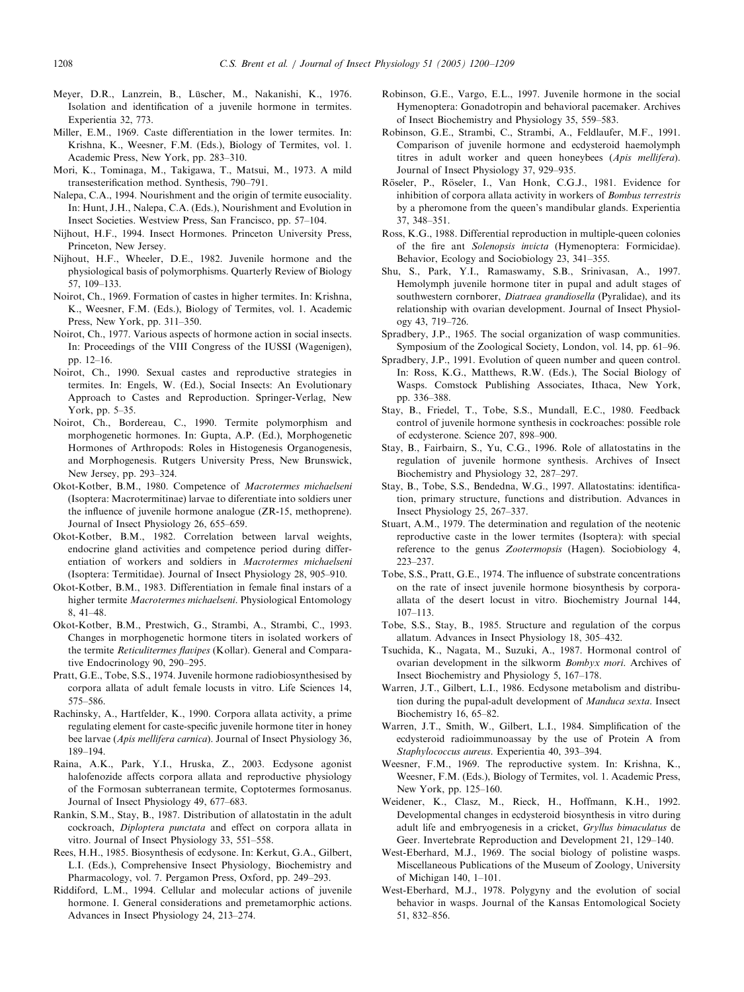- <span id="page-8-0"></span>Meyer, D.R., Lanzrein, B., Lüscher, M., Nakanishi, K., 1976. Isolation and identification of a juvenile hormone in termites. Experientia 32, 773.
- Miller, E.M., 1969. Caste differentiation in the lower termites. In: Krishna, K., Weesner, F.M. (Eds.), Biology of Termites, vol. 1. Academic Press, New York, pp. 283–310.
- Mori, K., Tominaga, M., Takigawa, T., Matsui, M., 1973. A mild transesterification method. Synthesis, 790–791.
- Nalepa, C.A., 1994. Nourishment and the origin of termite eusociality. In: Hunt, J.H., Nalepa, C.A. (Eds.), Nourishment and Evolution in Insect Societies. Westview Press, San Francisco, pp. 57–104.
- Nijhout, H.F., 1994. Insect Hormones. Princeton University Press, Princeton, New Jersey.
- Nijhout, H.F., Wheeler, D.E., 1982. Juvenile hormone and the physiological basis of polymorphisms. Quarterly Review of Biology 57, 109–133.
- Noirot, Ch., 1969. Formation of castes in higher termites. In: Krishna, K., Weesner, F.M. (Eds.), Biology of Termites, vol. 1. Academic Press, New York, pp. 311–350.
- Noirot, Ch., 1977. Various aspects of hormone action in social insects. In: Proceedings of the VIII Congress of the IUSSI (Wagenigen), pp. 12–16.
- Noirot, Ch., 1990. Sexual castes and reproductive strategies in termites. In: Engels, W. (Ed.), Social Insects: An Evolutionary Approach to Castes and Reproduction. Springer-Verlag, New York, pp. 5–35.
- Noirot, Ch., Bordereau, C., 1990. Termite polymorphism and morphogenetic hormones. In: Gupta, A.P. (Ed.), Morphogenetic Hormones of Arthropods: Roles in Histogenesis Organogenesis, and Morphogenesis. Rutgers University Press, New Brunswick, New Jersey, pp. 293–324.
- Okot-Kotber, B.M., 1980. Competence of Macrotermes michaelseni (Isoptera: Macrotermitinae) larvae to diferentiate into soldiers uner the influence of juvenile hormone analogue (ZR-15, methoprene). Journal of Insect Physiology 26, 655–659.
- Okot-Kotber, B.M., 1982. Correlation between larval weights, endocrine gland activities and competence period during differentiation of workers and soldiers in Macrotermes michaelseni (Isoptera: Termitidae). Journal of Insect Physiology 28, 905–910.
- Okot-Kotber, B.M., 1983. Differentiation in female final instars of a higher termite *Macrotermes michaelseni*. Physiological Entomology 8, 41–48.
- Okot-Kotber, B.M., Prestwich, G., Strambi, A., Strambi, C., 1993. Changes in morphogenetic hormone titers in isolated workers of the termite Reticulitermes flavipes (Kollar). General and Comparative Endocrinology 90, 290–295.
- Pratt, G.E., Tobe, S.S., 1974. Juvenile hormone radiobiosynthesised by corpora allata of adult female locusts in vitro. Life Sciences 14, 575–586.
- Rachinsky, A., Hartfelder, K., 1990. Corpora allata activity, a prime regulating element for caste-specific juvenile hormone titer in honey bee larvae (Apis mellifera carnica). Journal of Insect Physiology 36, 189–194.
- Raina, A.K., Park, Y.I., Hruska, Z., 2003. Ecdysone agonist halofenozide affects corpora allata and reproductive physiology of the Formosan subterranean termite, Coptotermes formosanus. Journal of Insect Physiology 49, 677–683.
- Rankin, S.M., Stay, B., 1987. Distribution of allatostatin in the adult cockroach, Diploptera punctata and effect on corpora allata in vitro. Journal of Insect Physiology 33, 551–558.
- Rees, H.H., 1985. Biosynthesis of ecdysone. In: Kerkut, G.A., Gilbert, L.I. (Eds.), Comprehensive Insect Physiology, Biochemistry and Pharmacology, vol. 7. Pergamon Press, Oxford, pp. 249–293.
- Riddiford, L.M., 1994. Cellular and molecular actions of juvenile hormone. I. General considerations and premetamorphic actions. Advances in Insect Physiology 24, 213–274.
- Robinson, G.E., Vargo, E.L., 1997. Juvenile hormone in the social Hymenoptera: Gonadotropin and behavioral pacemaker. Archives of Insect Biochemistry and Physiology 35, 559–583.
- Robinson, G.E., Strambi, C., Strambi, A., Feldlaufer, M.F., 1991. Comparison of juvenile hormone and ecdysteroid haemolymph titres in adult worker and queen honeybees (Apis mellifera). Journal of Insect Physiology 37, 929–935.
- Röseler, P., Röseler, I., Van Honk, C.G.J., 1981. Evidence for inhibition of corpora allata activity in workers of Bombus terrestris by a pheromone from the queen's mandibular glands. Experientia 37, 348–351.
- Ross, K.G., 1988. Differential reproduction in multiple-queen colonies of the fire ant Solenopsis invicta (Hymenoptera: Formicidae). Behavior, Ecology and Sociobiology 23, 341–355.
- Shu, S., Park, Y.I., Ramaswamy, S.B., Srinivasan, A., 1997. Hemolymph juvenile hormone titer in pupal and adult stages of southwestern cornborer, Diatraea grandiosella (Pyralidae), and its relationship with ovarian development. Journal of Insect Physiology 43, 719–726.
- Spradbery, J.P., 1965. The social organization of wasp communities. Symposium of the Zoological Society, London, vol. 14, pp. 61–96.
- Spradbery, J.P., 1991. Evolution of queen number and queen control. In: Ross, K.G., Matthews, R.W. (Eds.), The Social Biology of Wasps. Comstock Publishing Associates, Ithaca, New York, pp. 336–388.
- Stay, B., Friedel, T., Tobe, S.S., Mundall, E.C., 1980. Feedback control of juvenile hormone synthesis in cockroaches: possible role of ecdysterone. Science 207, 898–900.
- Stay, B., Fairbairn, S., Yu, C.G., 1996. Role of allatostatins in the regulation of juvenile hormone synthesis. Archives of Insect Biochemistry and Physiology 32, 287–297.
- Stay, B., Tobe, S.S., Bendedna, W.G., 1997. Allatostatins: identification, primary structure, functions and distribution. Advances in Insect Physiology 25, 267–337.
- Stuart, A.M., 1979. The determination and regulation of the neotenic reproductive caste in the lower termites (Isoptera): with special reference to the genus Zootermopsis (Hagen). Sociobiology 4, 223–237.
- Tobe, S.S., Pratt, G.E., 1974. The influence of substrate concentrations on the rate of insect juvenile hormone biosynthesis by corporaallata of the desert locust in vitro. Biochemistry Journal 144, 107–113.
- Tobe, S.S., Stay, B., 1985. Structure and regulation of the corpus allatum. Advances in Insect Physiology 18, 305–432.
- Tsuchida, K., Nagata, M., Suzuki, A., 1987. Hormonal control of ovarian development in the silkworm Bombyx mori. Archives of Insect Biochemistry and Physiology 5, 167–178.
- Warren, J.T., Gilbert, L.I., 1986. Ecdysone metabolism and distribution during the pupal-adult development of Manduca sexta. Insect Biochemistry 16, 65–82.
- Warren, J.T., Smith, W., Gilbert, L.I., 1984. Simplification of the ecdysteroid radioimmunoassay by the use of Protein A from Staphylococcus aureus. Experientia 40, 393–394.
- Weesner, F.M., 1969. The reproductive system. In: Krishna, K., Weesner, F.M. (Eds.), Biology of Termites, vol. 1. Academic Press, New York, pp. 125–160.
- Weidener, K., Clasz, M., Rieck, H., Hoffmann, K.H., 1992. Developmental changes in ecdysteroid biosynthesis in vitro during adult life and embryogenesis in a cricket, Gryllus bimaculatus de Geer. Invertebrate Reproduction and Development 21, 129–140.
- West-Eberhard, M.J., 1969. The social biology of polistine wasps. Miscellaneous Publications of the Museum of Zoology, University of Michigan 140, 1–101.
- West-Eberhard, M.J., 1978. Polygyny and the evolution of social behavior in wasps. Journal of the Kansas Entomological Society 51, 832–856.